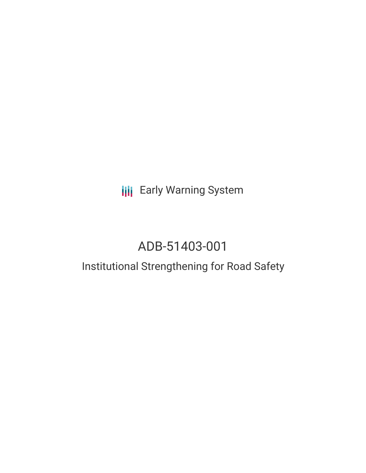# **III** Early Warning System

# ADB-51403-001

### Institutional Strengthening for Road Safety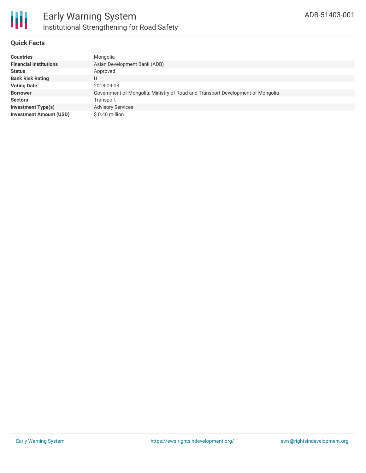

#### **Quick Facts**

| <b>Countries</b>               | Mongolia                                                                       |
|--------------------------------|--------------------------------------------------------------------------------|
| <b>Financial Institutions</b>  | Asian Development Bank (ADB)                                                   |
| <b>Status</b>                  | Approved                                                                       |
| <b>Bank Risk Rating</b>        | U                                                                              |
| <b>Voting Date</b>             | 2018-09-03                                                                     |
| <b>Borrower</b>                | Government of Mongolia; Ministry of Road and Transport Development of Mongolia |
| <b>Sectors</b>                 | Transport                                                                      |
| <b>Investment Type(s)</b>      | <b>Advisory Services</b>                                                       |
| <b>Investment Amount (USD)</b> | $$0.40$ million                                                                |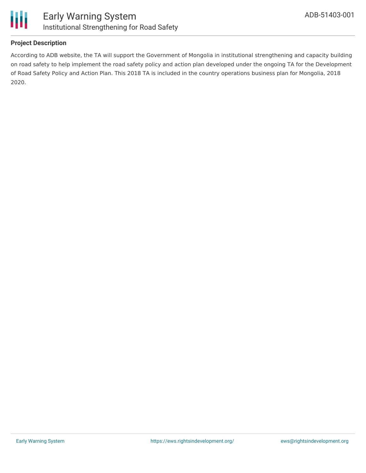

#### **Project Description**

According to ADB website, the TA will support the Government of Mongolia in institutional strengthening and capacity building on road safety to help implement the road safety policy and action plan developed under the ongoing TA for the Development of Road Safety Policy and Action Plan. This 2018 TA is included in the country operations business plan for Mongolia, 2018 2020.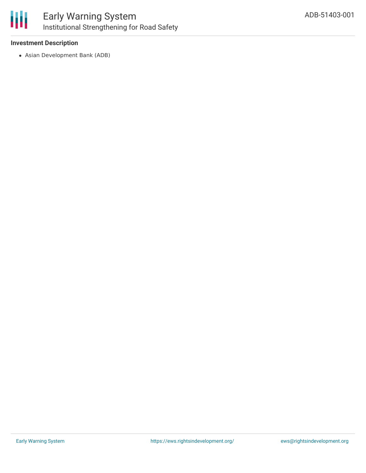

#### **Investment Description**

Asian Development Bank (ADB)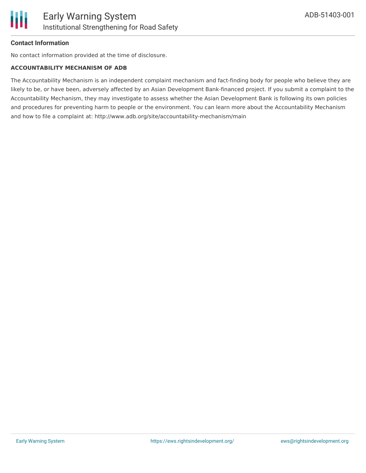#### **Contact Information**

No contact information provided at the time of disclosure.

#### **ACCOUNTABILITY MECHANISM OF ADB**

The Accountability Mechanism is an independent complaint mechanism and fact-finding body for people who believe they are likely to be, or have been, adversely affected by an Asian Development Bank-financed project. If you submit a complaint to the Accountability Mechanism, they may investigate to assess whether the Asian Development Bank is following its own policies and procedures for preventing harm to people or the environment. You can learn more about the Accountability Mechanism and how to file a complaint at: http://www.adb.org/site/accountability-mechanism/main